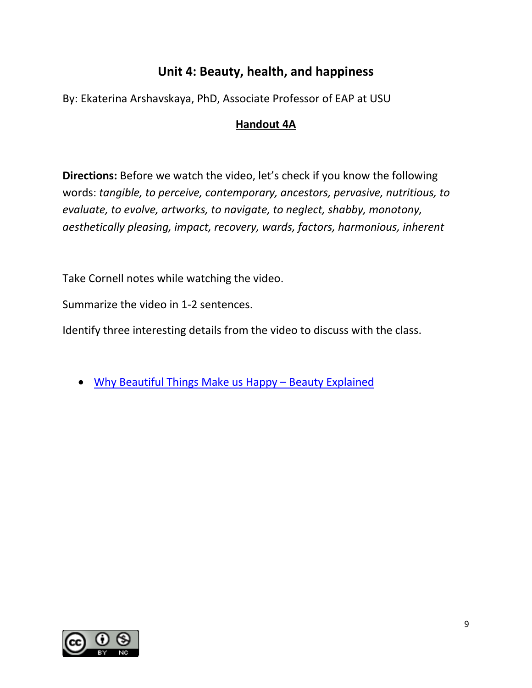## **Unit 4: Beauty, health, and happiness**

By: Ekaterina Arshavskaya, PhD, Associate Professor of EAP at USU

## **Handout 4A**

**Directions:** Before we watch the video, let's check if you know the following words: *tangible, to perceive, contemporary, ancestors, pervasive, nutritious, to evaluate, to evolve, artworks, to navigate, to neglect, shabby, monotony, aesthetically pleasing, impact, recovery, wards, factors, harmonious, inherent* 

Take Cornell notes while watching the video.

Summarize the video in 1-2 sentences.

Identify three interesting details from the video to discuss with the class.

• [Why Beautiful Things Make us Happy –](https://www.youtube.com/watch?v=-O5kNPlUV7w) Beauty Explained

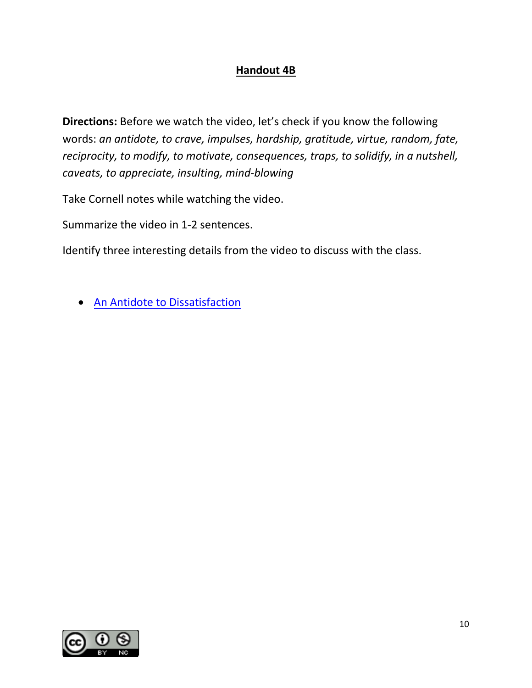## **Handout 4B**

**Directions:** Before we watch the video, let's check if you know the following words: *an antidote, to crave, impulses, hardship, gratitude, virtue, random, fate, reciprocity, to modify, to motivate, consequences, traps, to solidify, in a nutshell, caveats, to appreciate, insulting, mind-blowing*

Take Cornell notes while watching the video.

Summarize the video in 1-2 sentences.

Identify three interesting details from the video to discuss with the class.

• [An Antidote to Dissatisfaction](https://www.youtube.com/watch?v=WPPPFqsECz0)